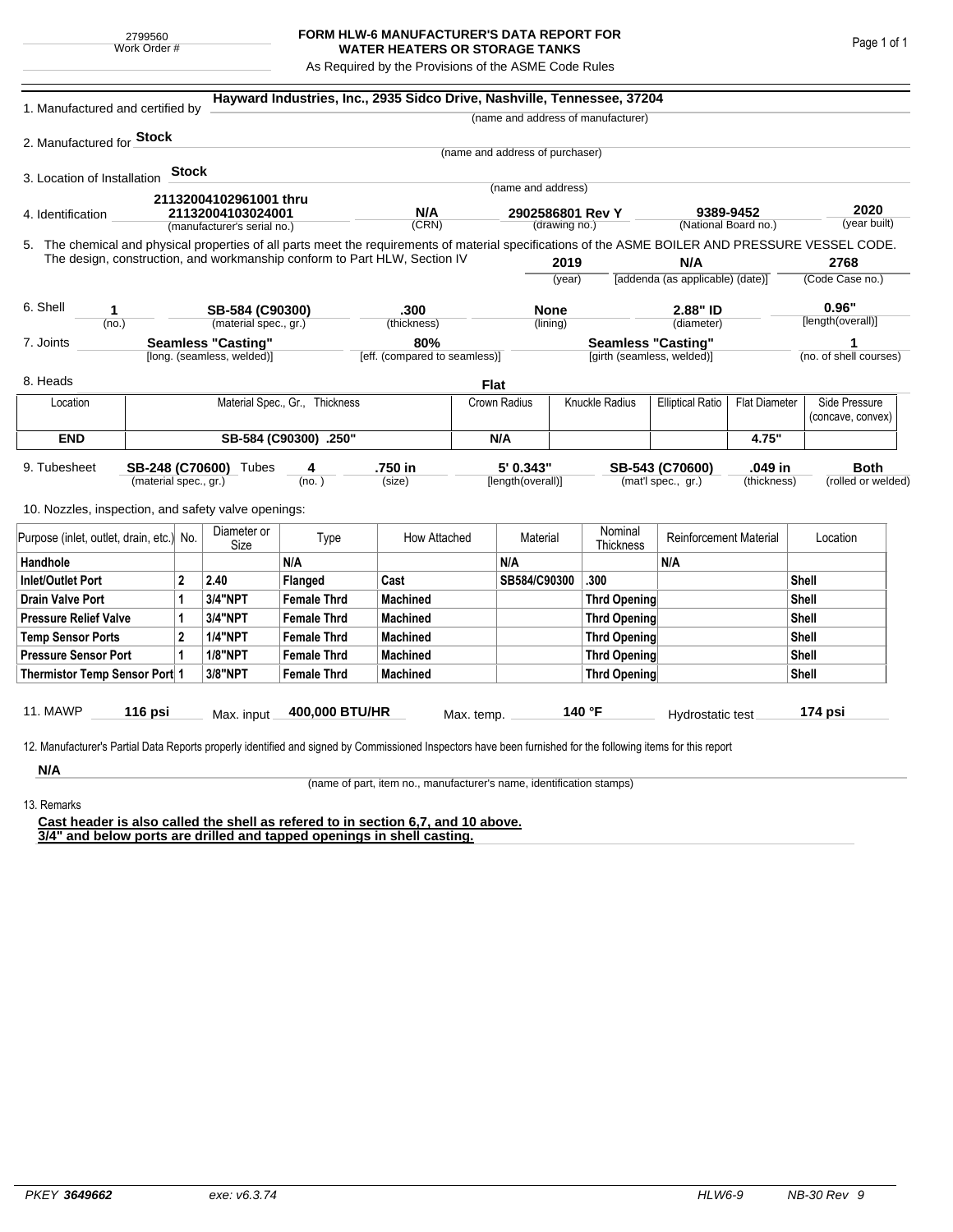## **FORM HLW-6 MANUFACTURER'S DATA REPORT FOR WATER HEATERS OR STORAGE TANKS**

As Required by the Provisions of the ASME Code Rules

| 1. Manufactured and certified by                                                                                                                              |                       |              |                                |                    | Hayward Industries, Inc., 2935 Sidco Drive, Nashville, Tennessee, 37204 |              |                                 |                                           |                                         |                               |                      |                      |                        |
|---------------------------------------------------------------------------------------------------------------------------------------------------------------|-----------------------|--------------|--------------------------------|--------------------|-------------------------------------------------------------------------|--------------|---------------------------------|-------------------------------------------|-----------------------------------------|-------------------------------|----------------------|----------------------|------------------------|
|                                                                                                                                                               |                       |              |                                |                    |                                                                         |              |                                 |                                           | (name and address of manufacturer)      |                               |                      |                      |                        |
| 2. Manufactured for <b>Stock</b>                                                                                                                              |                       |              |                                |                    |                                                                         |              |                                 |                                           |                                         |                               |                      |                      |                        |
|                                                                                                                                                               |                       |              |                                |                    |                                                                         |              | (name and address of purchaser) |                                           |                                         |                               |                      |                      |                        |
| 3. Location of Installation                                                                                                                                   |                       | <b>Stock</b> |                                |                    |                                                                         |              |                                 |                                           |                                         |                               |                      |                      |                        |
|                                                                                                                                                               |                       |              | 21132004102961001 thru         |                    |                                                                         |              | (name and address)              |                                           |                                         |                               |                      |                      |                        |
| 4. Identification                                                                                                                                             |                       |              | 21132004103024001              |                    | N/A                                                                     |              | 2902586801 Rev Y                |                                           |                                         | 9389-9452                     |                      | 2020<br>(year built) |                        |
|                                                                                                                                                               |                       |              | (manufacturer's serial no.)    |                    | (CRN)                                                                   |              |                                 | (drawing no.)                             |                                         |                               | (National Board no.) |                      |                        |
| 5. The chemical and physical properties of all parts meet the requirements of material specifications of the ASME BOILER AND PRESSURE VESSEL CODE.            |                       |              |                                |                    |                                                                         |              |                                 |                                           |                                         |                               |                      |                      |                        |
| The design, construction, and workmanship conform to Part HLW, Section IV                                                                                     |                       |              |                                |                    |                                                                         |              | 2019                            |                                           | N/A<br>[addenda (as applicable) (date)] |                               | 2768                 |                      |                        |
|                                                                                                                                                               |                       |              |                                |                    |                                                                         |              |                                 | (year)                                    |                                         |                               |                      |                      | (Code Case no.)        |
| 6. Shell<br>1                                                                                                                                                 |                       |              | SB-584 (C90300)                |                    | .300                                                                    |              | <b>None</b>                     |                                           |                                         | 2.88" ID                      |                      | 0.96"                |                        |
| (no.)                                                                                                                                                         |                       |              | (material spec., gr.)          |                    | (thickness)                                                             |              |                                 | (lining)                                  |                                         | (diameter)                    |                      |                      | [length(overall)]      |
| <b>Seamless "Casting"</b><br>7. Joints                                                                                                                        |                       |              |                                | 80%                |                                                                         |              |                                 | <b>Seamless "Casting"</b>                 |                                         |                               | 1                    |                      |                        |
|                                                                                                                                                               |                       |              | [long. (seamless, welded)]     |                    | [eff. (compared to seamless)]                                           |              |                                 |                                           | [girth (seamless, welded)]              |                               |                      |                      | (no. of shell courses) |
| 8. Heads                                                                                                                                                      |                       |              |                                |                    |                                                                         |              | Flat                            |                                           |                                         |                               |                      |                      |                        |
| Location                                                                                                                                                      |                       |              | Material Spec., Gr., Thickness |                    |                                                                         | Crown Radius |                                 | Knuckle Radius<br><b>Elliptical Ratio</b> |                                         | <b>Flat Diameter</b>          |                      | Side Pressure        |                        |
|                                                                                                                                                               |                       |              |                                |                    |                                                                         |              |                                 |                                           |                                         |                               |                      |                      | (concave, convex)      |
| <b>END</b>                                                                                                                                                    | SB-584 (C90300) .250" |              |                                |                    |                                                                         |              | N/A                             |                                           |                                         | 4.75"                         |                      |                      |                        |
| 9. Tubesheet                                                                                                                                                  |                       |              | SB-248 (C70600) Tubes          | 4                  | .750 in                                                                 |              | 5' 0.343"                       |                                           |                                         | SB-543 (C70600)               | .049 in              |                      | <b>Both</b>            |
| (material spec., gr.)                                                                                                                                         |                       |              | (no.)                          |                    | (size)                                                                  |              | [length(overall)]               |                                           | (mat'l spec., gr.)<br>(thickness)       |                               |                      | (rolled or welded)   |                        |
| 10. Nozzles, inspection, and safety valve openings:                                                                                                           |                       |              |                                |                    |                                                                         |              |                                 |                                           |                                         |                               |                      |                      |                        |
|                                                                                                                                                               |                       |              | Diameter or                    |                    |                                                                         |              |                                 |                                           | Nominal                                 |                               |                      |                      |                        |
| Purpose (inlet, outlet, drain, etc.) No.                                                                                                                      |                       |              | Size                           | Type               | How Attached                                                            |              | Material                        |                                           | Thickness                               | <b>Reinforcement Material</b> |                      |                      | Location               |
| Handhole                                                                                                                                                      |                       |              |                                | N/A                |                                                                         |              | N/A                             |                                           |                                         | N/A                           |                      |                      |                        |
| $\overline{2}$<br><b>Inlet/Outlet Port</b>                                                                                                                    |                       |              | 2.40                           | Flanged            | Cast                                                                    |              | SB584/C90300                    |                                           | .300                                    |                               |                      | Shell                |                        |
| <b>Drain Valve Port</b><br>1                                                                                                                                  |                       | 3/4"NPT      | <b>Female Thrd</b>             | <b>Machined</b>    |                                                                         |              |                                 | <b>Thrd Opening</b>                       |                                         |                               | Shell                |                      |                        |
| <b>Pressure Relief Valve</b><br>1                                                                                                                             |                       |              | 3/4"NPT                        | <b>Female Thrd</b> | <b>Machined</b>                                                         |              |                                 |                                           | <b>Thrd Opening</b>                     |                               |                      | Shell                |                        |
| $\overline{2}$<br><b>Temp Sensor Ports</b>                                                                                                                    |                       |              | <b>1/4"NPT</b>                 | <b>Female Thrd</b> | <b>Machined</b>                                                         |              |                                 | <b>Thrd Opening</b>                       |                                         |                               |                      | Shell                |                        |
| <b>Pressure Sensor Port</b><br>1                                                                                                                              |                       |              | <b>1/8"NPT</b>                 | <b>Female Thrd</b> | <b>Machined</b>                                                         |              |                                 | <b>Thrd Opening</b>                       |                                         |                               | Shell                |                      |                        |
| Thermistor Temp Sensor Port 1                                                                                                                                 |                       |              | 3/8"NPT                        | <b>Female Thrd</b> | <b>Machined</b>                                                         |              |                                 | <b>Thrd Opening</b>                       |                                         |                               |                      | Shell                |                        |
|                                                                                                                                                               |                       |              |                                |                    |                                                                         |              |                                 |                                           |                                         |                               |                      |                      |                        |
| 11. MAWP                                                                                                                                                      | 116 psi               |              | Max. input                     | 400,000 BTU/HR     |                                                                         | Max. temp.   |                                 |                                           | 140 °F                                  | Hydrostatic test              |                      |                      | 174 psi                |
|                                                                                                                                                               |                       |              |                                |                    |                                                                         |              |                                 |                                           |                                         |                               |                      |                      |                        |
| 12. Manufacturer's Partial Data Reports properly identified and signed by Commissioned Inspectors have been furnished for the following items for this report |                       |              |                                |                    |                                                                         |              |                                 |                                           |                                         |                               |                      |                      |                        |
| N/A                                                                                                                                                           |                       |              |                                |                    |                                                                         |              |                                 |                                           |                                         |                               |                      |                      |                        |

(name of part, item no., manufacturer's name, identification stamps)

13. Remarks

**Cast header is also called the shell as refered to in section 6,7, and 10 above. 3/4" and below ports are drilled and tapped openings in shell casting.**